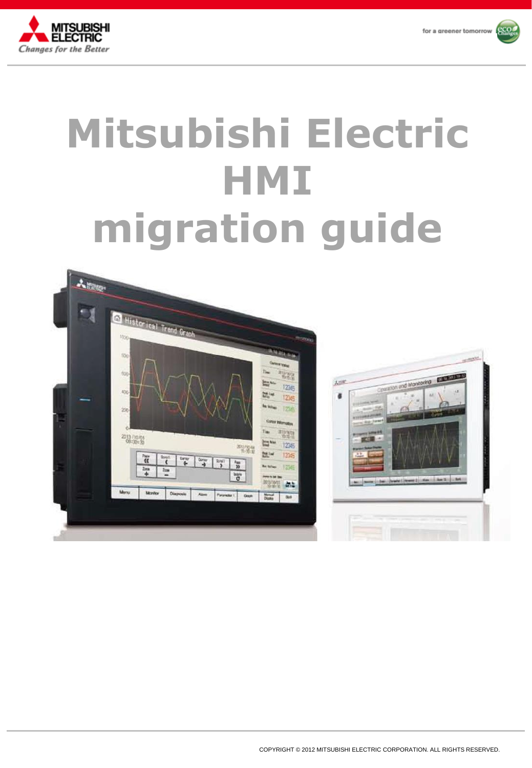



# **Mitsubishi Electric HMI migration guide**

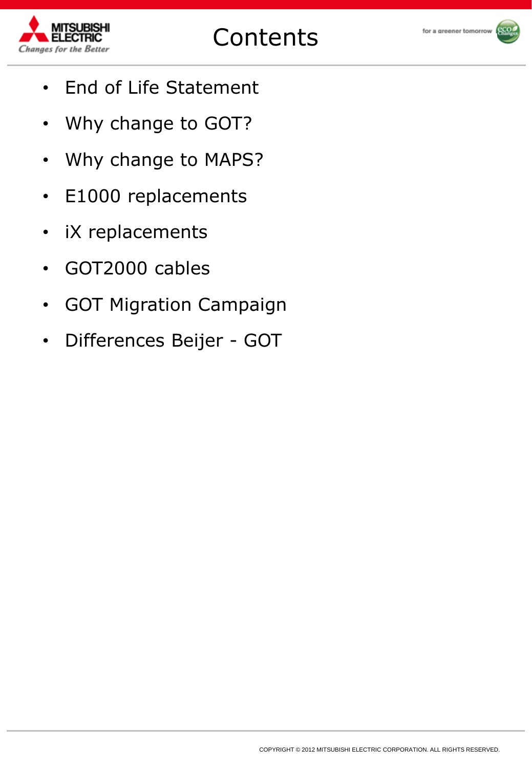

for a greener tomorrow



- End of Life Statement
- Why change to GOT?
- Why change to MAPS?
- E1000 replacements
- iX replacements
- GOT2000 cables
- GOT Migration Campaign
- Differences Beijer GOT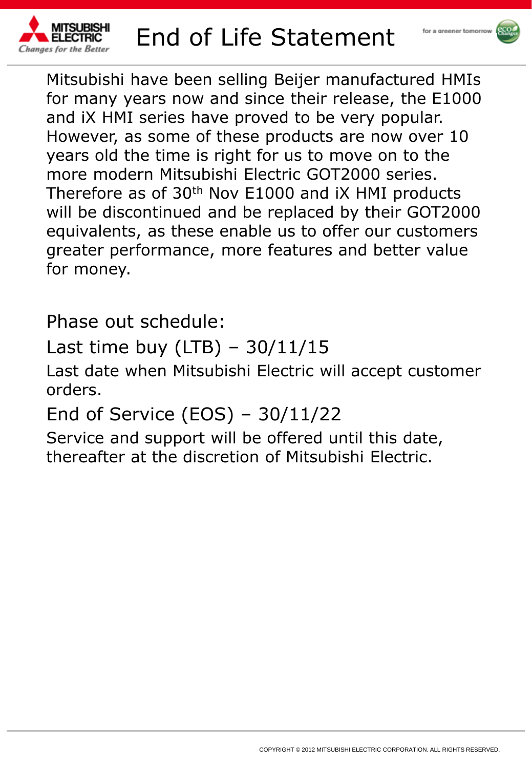

# End of Life Statement



Mitsubishi have been selling Beijer manufactured HMIs for many years now and since their release, the E1000 and iX HMI series have proved to be very popular. However, as some of these products are now over 10 years old the time is right for us to move on to the more modern Mitsubishi Electric GOT2000 series. Therefore as of 30<sup>th</sup> Nov E1000 and IX HMI products will be discontinued and be replaced by their GOT2000 equivalents, as these enable us to offer our customers greater performance, more features and better value for money.

Phase out schedule:

Last time buy (LTB)  $-30/11/15$ 

Last date when Mitsubishi Electric will accept customer orders.

End of Service (EOS) – 30/11/22

Service and support will be offered until this date, thereafter at the discretion of Mitsubishi Electric.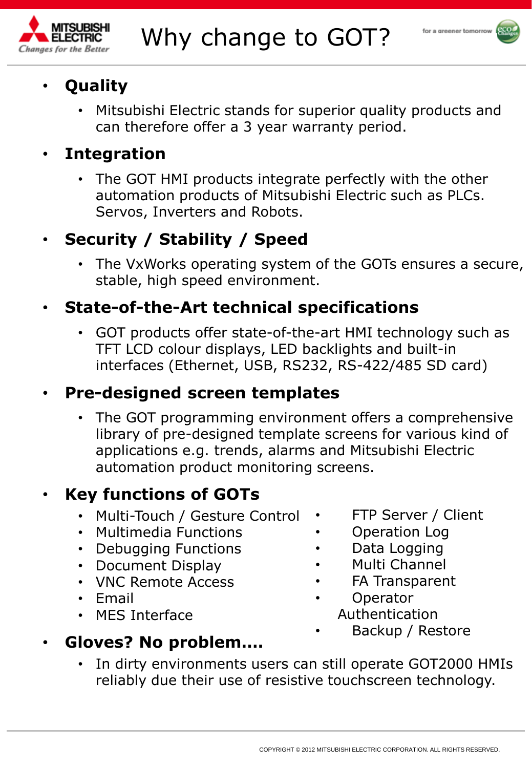



# • **Quality**

• Mitsubishi Electric stands for superior quality products and can therefore offer a 3 year warranty period.

# • **Integration**

The GOT HMI products integrate perfectly with the other automation products of Mitsubishi Electric such as PLCs. Servos, Inverters and Robots.

# • **Security / Stability / Speed**

The VxWorks operating system of the GOTs ensures a secure, stable, high speed environment.

# • **State-of-the-Art technical specifications**

• GOT products offer state-of-the-art HMI technology such as TFT LCD colour displays, LED backlights and built-in interfaces (Ethernet, USB, RS232, RS-422/485 SD card)

### • **Pre-designed screen templates**

The GOT programming environment offers a comprehensive library of pre-designed template screens for various kind of applications e.g. trends, alarms and Mitsubishi Electric automation product monitoring screens.

# • **Key functions of GOTs**

- Multi-Touch / Gesture Control
- Multimedia Functions
- Debugging Functions
- Document Display
- VNC Remote Access
- Email
- MES Interface
- FTP Server / Client
- Operation Log
- Data Logging
- Multi Channel
- FA Transparent
- **Operator** Authentication
	- Backup / Restore

### • **Gloves? No problem….**

In dirty environments users can still operate GOT2000 HMIs reliably due their use of resistive touchscreen technology.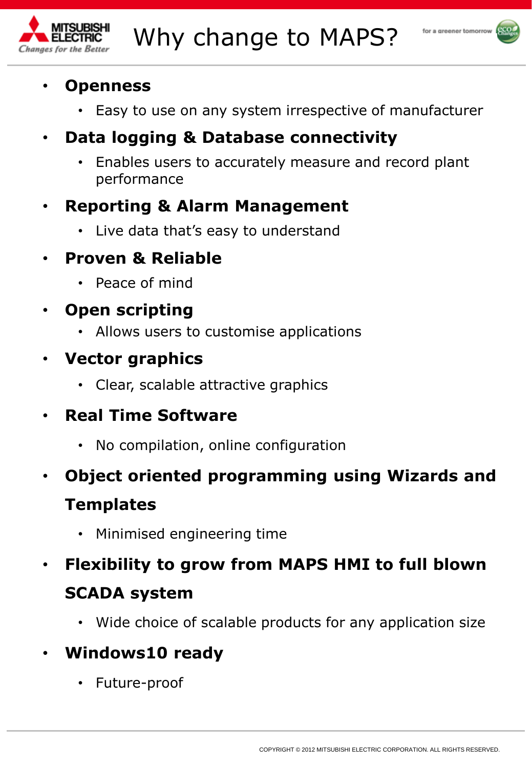



#### • **Openness**

- Easy to use on any system irrespective of manufacturer
- **Data logging & Database connectivity**
	- Enables users to accurately measure and record plant performance

### • **Reporting & Alarm Management**

• Live data that's easy to understand

### • **Proven & Reliable**

- Peace of mind
- **Open scripting**
	- Allows users to customise applications
- **Vector graphics**
	- Clear, scalable attractive graphics
- **Real Time Software**
	- No compilation, online configuration
- **Object oriented programming using Wizards and Templates**
	- Minimised engineering time
- **Flexibility to grow from MAPS HMI to full blown SCADA system**
	- Wide choice of scalable products for any application size

# • **Windows10 ready**

• Future-proof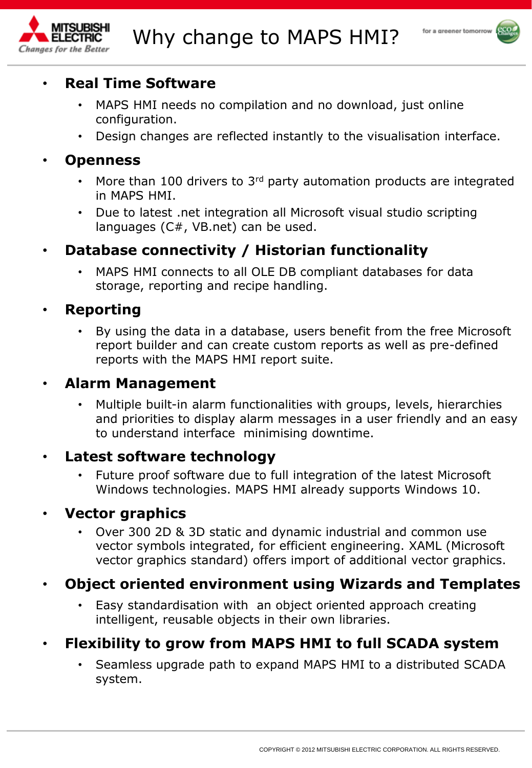



#### • **Real Time Software**

- MAPS HMI needs no compilation and no download, just online configuration.
- Design changes are reflected instantly to the visualisation interface.

#### • **Openness**

- More than 100 drivers to  $3<sup>rd</sup>$  party automation products are integrated in MAPS HMI.
- Due to latest .net integration all Microsoft visual studio scripting languages (C#, VB.net) can be used.
- **Database connectivity / Historian functionality**
	- MAPS HMI connects to all OLE DB compliant databases for data storage, reporting and recipe handling.

#### • **Reporting**

• By using the data in a database, users benefit from the free Microsoft report builder and can create custom reports as well as pre-defined reports with the MAPS HMI report suite.

#### • **Alarm Management**

• Multiple built-in alarm functionalities with groups, levels, hierarchies and priorities to display alarm messages in a user friendly and an easy to understand interface minimising downtime.

#### • **Latest software technology**

• Future proof software due to full integration of the latest Microsoft Windows technologies. MAPS HMI already supports Windows 10.

#### • **Vector graphics**

• Over 300 2D & 3D static and dynamic industrial and common use vector symbols integrated, for efficient engineering. XAML (Microsoft vector graphics standard) offers import of additional vector graphics.

#### • **Object oriented environment using Wizards and Templates**

Easy standardisation with an object oriented approach creating intelligent, reusable objects in their own libraries.

#### • **Flexibility to grow from MAPS HMI to full SCADA system**

• Seamless upgrade path to expand MAPS HMI to a distributed SCADA system.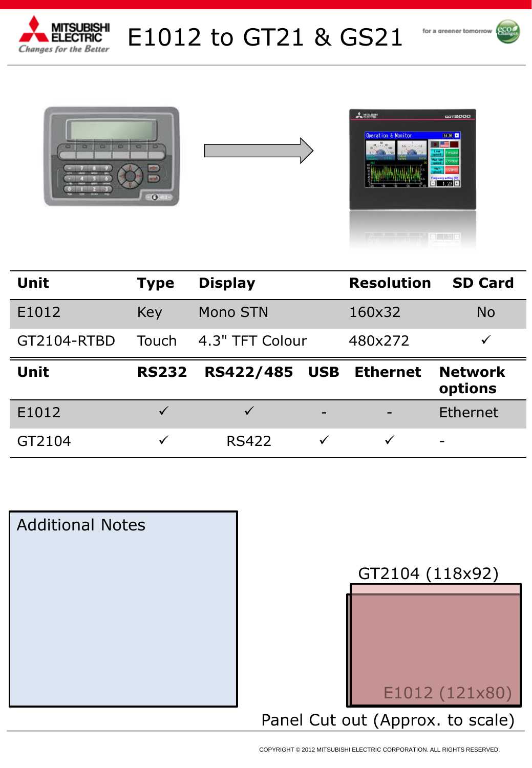

E1012 to GT21 & GS21









| <b>Unit</b> | <b>Type</b>  | <b>Display</b>  | <b>Resolution</b> | <b>SD Card</b>            |
|-------------|--------------|-----------------|-------------------|---------------------------|
| E1012       | Key          | Mono STN        | 160x32            | <b>No</b>                 |
| GT2104-RTBD | Touch        | 4.3" TFT Colour | 480x272           |                           |
|             |              |                 |                   |                           |
| <b>Unit</b> | <b>RS232</b> | RS422/485 USB   | <b>Ethernet</b>   | <b>Network</b><br>options |
| E1012       |              |                 |                   | <b>Ethernet</b>           |



Panel Cut out (Approx. to scale) E1012 (121x80) GT2104 (118x92)

COPYRIGHT © 2012 MITSUBISHI ELECTRIC CORPORATION. ALL RIGHTS RESERVED.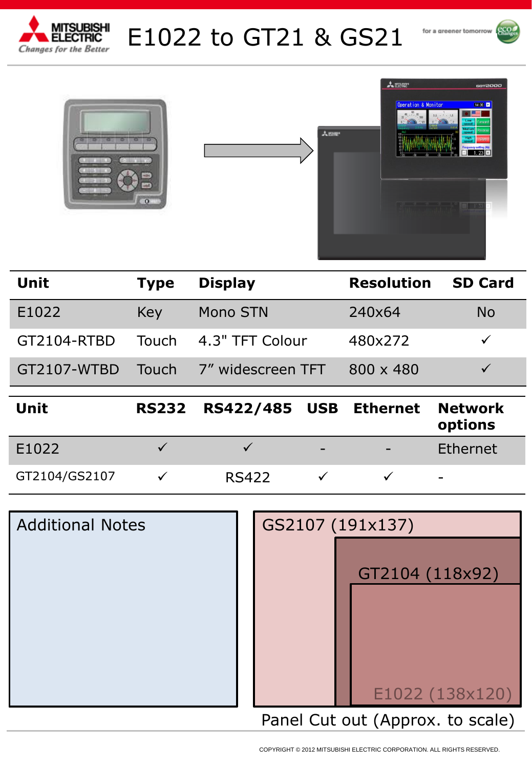

# E1022 to GT21 & GS21







| <b>Unit</b> | <b>Type</b> | <b>Display</b>        | <b>Resolution</b> | <b>SD Card</b> |
|-------------|-------------|-----------------------|-------------------|----------------|
| E1022       | Key         | Mono STN              | 240×64            | <b>No</b>      |
| GT2104-RTBD |             | Touch 4.3" TFT Colour | 480x272           |                |
| GT2107-WTBD | Touch       | 7" widescreen TFT     | $800 \times 480$  |                |
|             |             |                       |                   |                |

| Unit          | RS232 RS422/485 USB Ethernet Network |   | options                      |
|---------------|--------------------------------------|---|------------------------------|
| E1022         |                                      | - | Ethernet                     |
| GT2104/GS2107 | <b>RS422</b>                         |   | $\qquad \qquad \blacksquare$ |

| <b>Additional Notes</b> | GS2107 (191x137)                 |
|-------------------------|----------------------------------|
|                         | GT2104 (118x92)                  |
|                         |                                  |
|                         | E1022 (138x120)                  |
|                         | Panel Cut out (Approx. to scale) |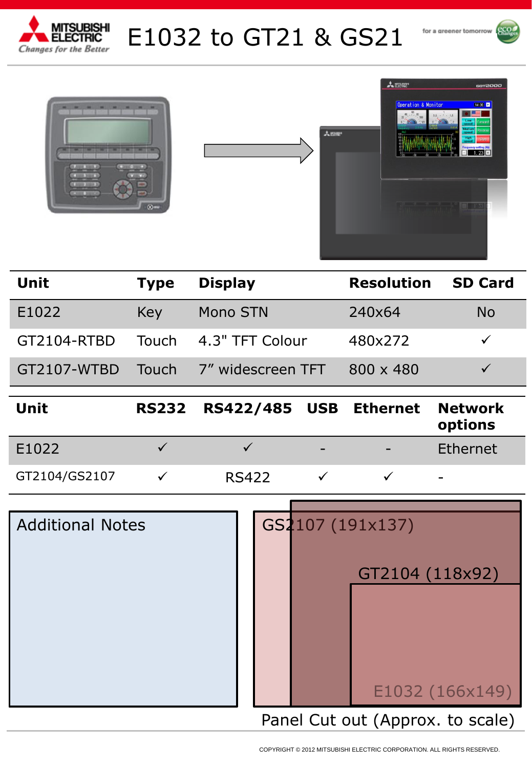

# E1032 to GT21 & GS21







| Unit        | <b>Type</b> | <b>Display</b>        | <b>Resolution SD Card</b> |    |
|-------------|-------------|-----------------------|---------------------------|----|
| E1022       | Key         | Mono STN              | 240×64                    | No |
| GT2104-RTBD |             | Touch 4.3" TFT Colour | 480x272                   |    |
| GT2107-WTBD | Touch       | 7" widescreen TFT     | $800 \times 480$          |    |

| Unit          | RS232 RS422/485 USB Ethernet Network |                          | options                  |
|---------------|--------------------------------------|--------------------------|--------------------------|
| E1022         |                                      | $\overline{\phantom{0}}$ | Ethernet                 |
| GT2104/GS2107 | <b>RS422</b>                         |                          | $\overline{\phantom{a}}$ |

| <b>Additional Notes</b> |  | GS2107 (191x137)                 |
|-------------------------|--|----------------------------------|
|                         |  | GT2104 (118x92)                  |
|                         |  |                                  |
|                         |  |                                  |
|                         |  |                                  |
|                         |  | E1032 (166x149)                  |
|                         |  | Panel Cut out (Approx. to scale) |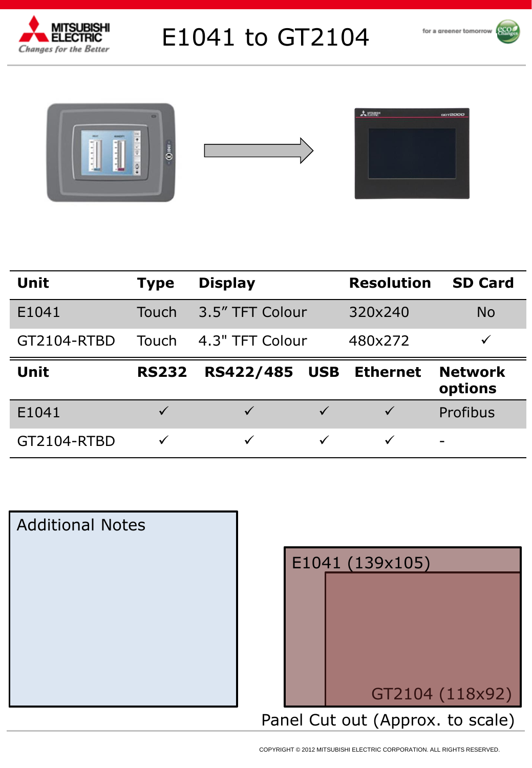

# E1041 to GT2104







| <b>ANESS</b> | <b>GOT2000</b> |
|--------------|----------------|
|              |                |
|              |                |
|              |                |
|              |                |
|              |                |
|              |                |
|              |                |

| Unit        | <b>Type</b>  | <b>Display</b>               | <b>Resolution</b> | <b>SD Card</b>            |
|-------------|--------------|------------------------------|-------------------|---------------------------|
| E1041       | Touch        | 3.5" TFT Colour              | 320x240           | <b>No</b>                 |
| GT2104-RTBD | Touch        | 4.3" TFT Colour              | 480x272           | ✓                         |
|             |              |                              |                   |                           |
| Unit        | <b>RS232</b> | RS422/485<br><b>USB</b>      | <b>Ethernet</b>   | <b>Network</b><br>options |
| E1041       | $\sqrt{}$    | $\checkmark$<br>$\checkmark$ | $\checkmark$      | Profibus                  |



|  | E1041 (139x105)                  |
|--|----------------------------------|
|  |                                  |
|  |                                  |
|  |                                  |
|  |                                  |
|  |                                  |
|  |                                  |
|  | GT2104 (118x92)                  |
|  |                                  |
|  | Panel Cut out (Approx. to scale) |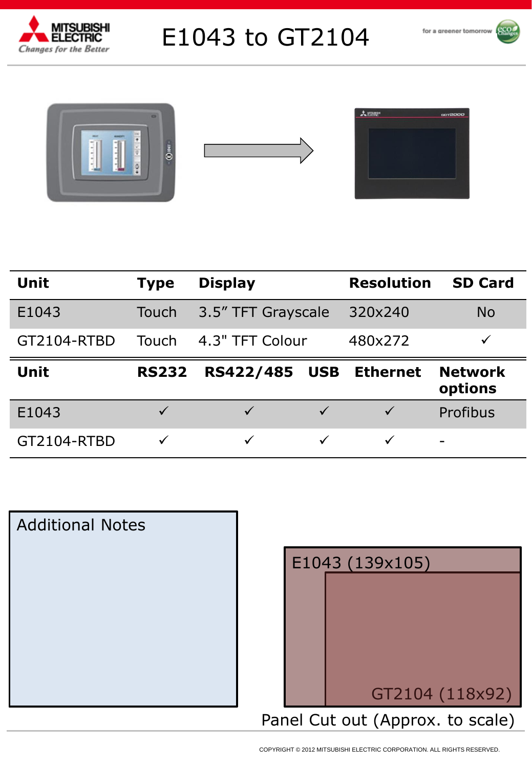

# E1043 to GT2104









| <b>Unit</b> | <b>Type</b>  | <b>Display</b>                 |         | <b>Resolution</b> | <b>SD Card</b>            |
|-------------|--------------|--------------------------------|---------|-------------------|---------------------------|
| E1043       | Touch        | 3.5" TFT Grayscale             | 320x240 |                   | <b>No</b>                 |
| GT2104-RTBD | Touch        | 4.3" TFT Colour                | 480x272 |                   | ✓                         |
|             |              |                                |         |                   |                           |
| <b>Unit</b> | <b>RS232</b> | <b>RS422/485</b><br><b>USB</b> |         | <b>Ethernet</b>   | <b>Network</b><br>options |
| E1043       | $\checkmark$ | $\checkmark$                   |         | $\checkmark$      | Profibus                  |



| E1043 (139x105) |                                  |  |  |  |  |
|-----------------|----------------------------------|--|--|--|--|
|                 |                                  |  |  |  |  |
|                 |                                  |  |  |  |  |
|                 |                                  |  |  |  |  |
|                 |                                  |  |  |  |  |
|                 |                                  |  |  |  |  |
|                 |                                  |  |  |  |  |
|                 | GT2104 (118x92)                  |  |  |  |  |
|                 | Panel Cut out (Approx. to scale) |  |  |  |  |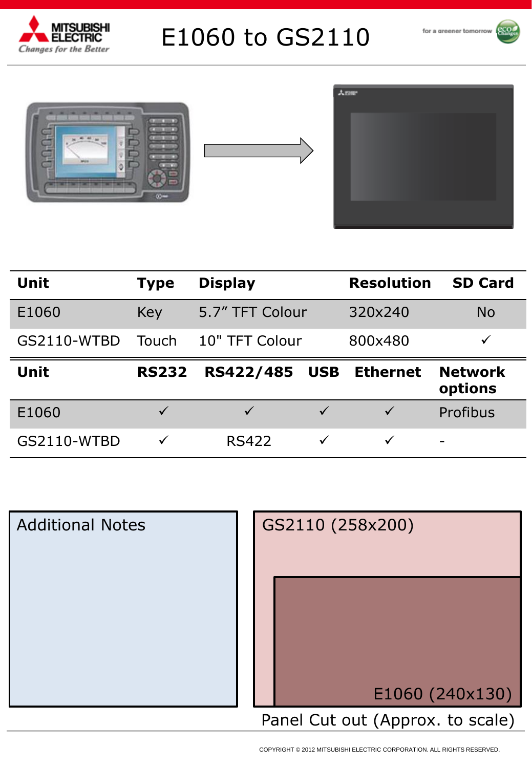

# E1060 to GS2110









| <b>Unit</b> | <b>Type</b>  | <b>Display</b>               | <b>Resolution</b> | <b>SD Card</b>            |
|-------------|--------------|------------------------------|-------------------|---------------------------|
| E1060       | Key          | 5.7" TFT Colour              | 320x240           | <b>No</b>                 |
| GS2110-WTBD | Touch        | 10" TFT Colour               | 800x480           |                           |
|             |              |                              |                   |                           |
| Unit        | <b>RS232</b> | RS422/485<br><b>USB</b>      | <b>Ethernet</b>   | <b>Network</b><br>options |
| E1060       | $\checkmark$ | $\checkmark$<br>$\checkmark$ | $\checkmark$      | Profibus                  |

| <b>Additional Notes</b> | GS2110 (258x200)                 |
|-------------------------|----------------------------------|
|                         |                                  |
|                         | E1060 (240x130)                  |
|                         | Panel Cut out (Approx. to scale) |

COPYRIGHT © 2012 MITSUBISHI ELECTRIC CORPORATION. ALL RIGHTS RESERVED.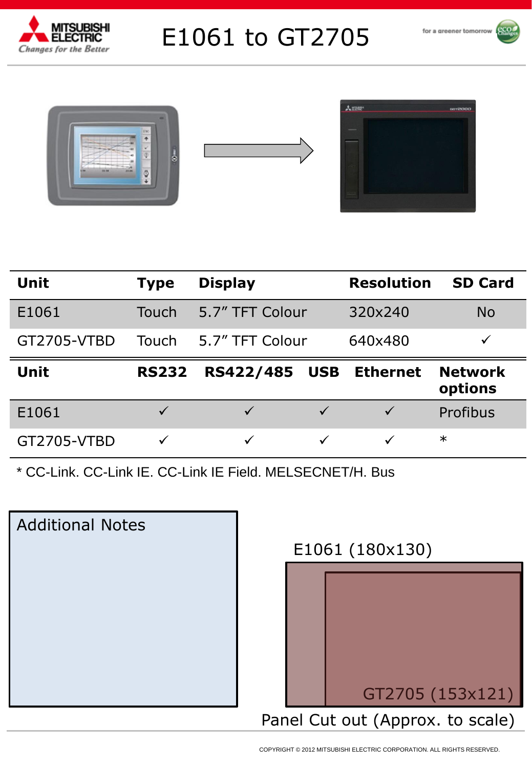

# E1061 to GT2705











| <b>Unit</b> | <b>Type</b>  | <b>Display</b>            | <b>Resolution</b> | <b>SD Card</b>            |
|-------------|--------------|---------------------------|-------------------|---------------------------|
| E1061       | Touch        | 5.7" TFT Colour           | 320×240           | <b>No</b>                 |
| GT2705-VTBD | Touch        | 5.7" TFT Colour           | 640x480           | ✓                         |
| <b>Unit</b> | <b>RS232</b> | RS422/485<br><b>USB</b>   | <b>Ethernet</b>   | <b>Network</b><br>options |
| E1061       | $\checkmark$ | $\sqrt{}$<br>$\checkmark$ | $\checkmark$      | Profibus                  |
| GT2705-VTBD |              | $\checkmark$              | $\checkmark$      | $\ast$                    |

\* CC-Link. CC-Link IE. CC-Link IE Field. MELSECNET/H. Bus

| <b>Additional Notes</b> |
|-------------------------|
|                         |
|                         |
|                         |
|                         |
|                         |

### E1061 (180x130)

|  | GT2705 (153x121)                 |
|--|----------------------------------|
|  | Panel Cut out (Approx. to scale) |
|  |                                  |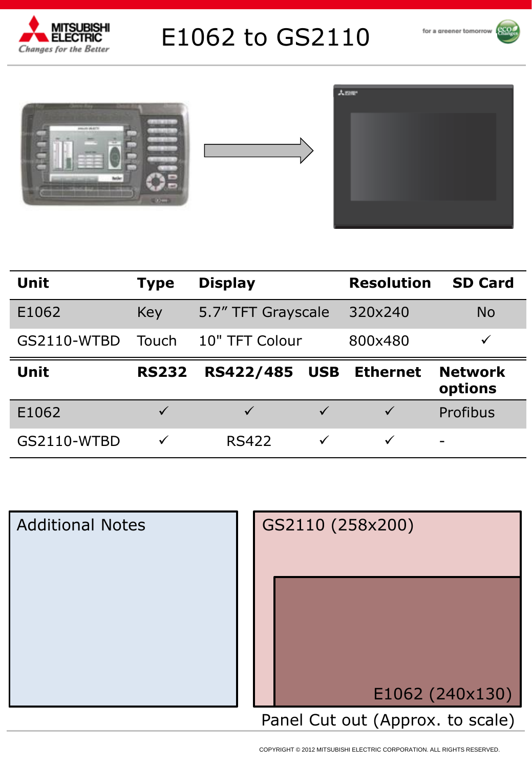

# E1062 to GS2110







| <b>Unit</b> | <b>Type</b>  | <b>Display</b>                 | <b>Resolution</b> | <b>SD Card</b>            |
|-------------|--------------|--------------------------------|-------------------|---------------------------|
| E1062       | Key          | 5.7" TFT Grayscale             | 320×240           | <b>No</b>                 |
| GS2110-WTBD | Touch        | 10" TFT Colour                 | 800x480           | ✓                         |
|             |              |                                |                   |                           |
| <b>Unit</b> | <b>RS232</b> | <b>RS422/485</b><br><b>USB</b> | <b>Ethernet</b>   | <b>Network</b><br>options |
| E1062       |              | $\sqrt{}$                      | $\sqrt{}$         | Profibus                  |



COPYRIGHT © 2012 MITSUBISHI ELECTRIC CORPORATION. ALL RIGHTS RESERVED.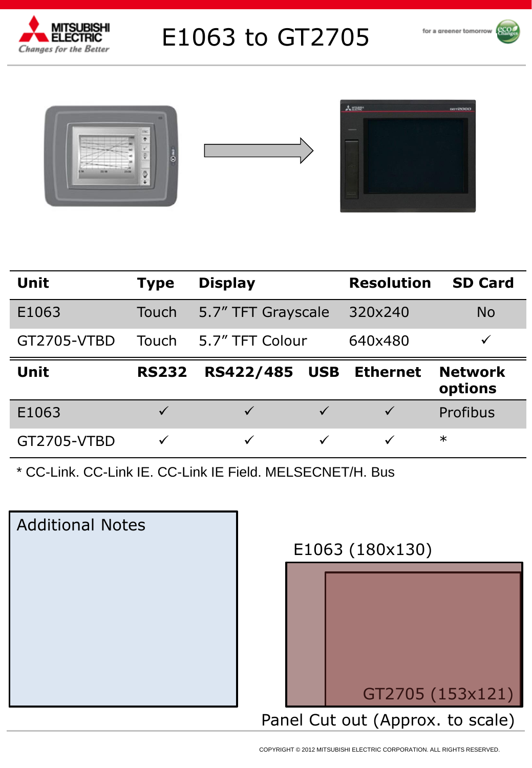

# E1063 to GT2705









| <b>Unit</b> | <b>Type</b>  | <b>Display</b>     |              | <b>Resolution</b> | <b>SD Card</b>            |
|-------------|--------------|--------------------|--------------|-------------------|---------------------------|
| E1063       | Touch        | 5.7" TFT Grayscale |              | 320x240           | <b>No</b>                 |
| GT2705-VTBD | Touch        | 5.7" TFT Colour    |              | 640x480           | ✓                         |
| <b>Unit</b> | <b>RS232</b> | RS422/485          | <b>USB</b>   | <b>Ethernet</b>   | <b>Network</b><br>options |
| E1063       | $\checkmark$ | $\checkmark$       | $\checkmark$ | $\checkmark$      | Profibus                  |
| GT2705-VTBD |              | ✓                  |              | ✓                 | $\ast$                    |

\* CC-Link. CC-Link IE. CC-Link IE Field. MELSECNET/H. Bus

| <b>Additional Notes</b> |
|-------------------------|
|                         |
|                         |
|                         |
|                         |
|                         |

### E1063 (180x130)

|  | GT2705 (153x121)                 |
|--|----------------------------------|
|  | Panel Cut out (Approx. to scale) |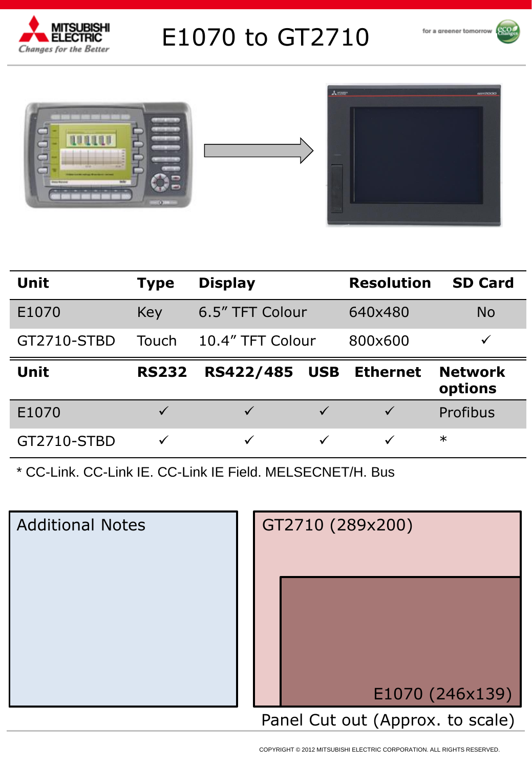

# E1070 to GT2710







| <b>Unit</b> | Type         | <b>Display</b>                 | <b>Resolution</b> | <b>SD Card</b>            |
|-------------|--------------|--------------------------------|-------------------|---------------------------|
| E1070       | Key          | 6.5" TFT Colour                | 640x480           | <b>No</b>                 |
| GT2710-STBD | Touch        | 10.4" TFT Colour               | 800×600           | $\checkmark$              |
|             |              |                                |                   |                           |
| <b>Unit</b> | <b>RS232</b> | <b>RS422/485</b><br><b>USB</b> | <b>Ethernet</b>   | <b>Network</b><br>options |
| E1070       | $\checkmark$ | $\checkmark$<br>$\checkmark$   | $\checkmark$      | Profibus                  |

| <b>Additional Notes</b> | GT2710 (289x200)                 |
|-------------------------|----------------------------------|
|                         | E1070 (246x139)                  |
|                         | Panel Cut out (Approx. to scale) |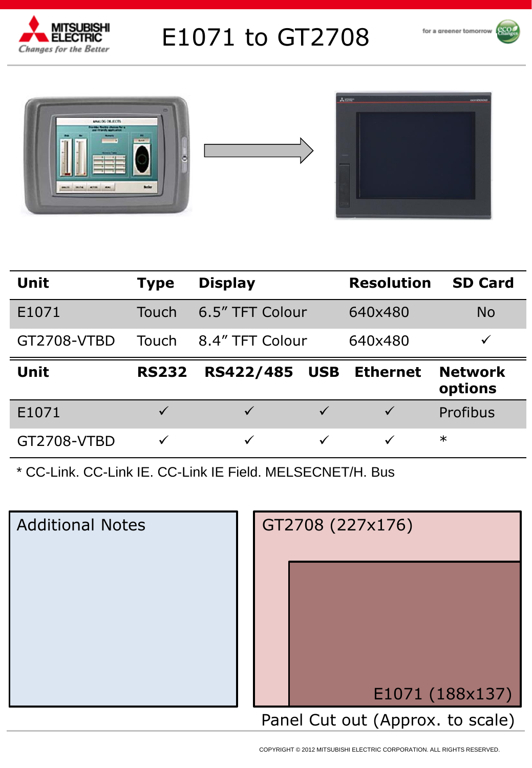

# E1071 to GT2708





| <b>Unit</b> | <b>Type</b>  | <b>Display</b>       |              | <b>Resolution</b> | <b>SD Card</b>            |  |  |
|-------------|--------------|----------------------|--------------|-------------------|---------------------------|--|--|
| E1071       | Touch        | 6.5" TFT Colour      |              | 640x480           | <b>No</b>                 |  |  |
| GT2708-VTBD | Touch        | 8.4" TFT Colour      |              | 640x480           | ✓                         |  |  |
| Unit        | <b>RS232</b> | <b>RS422/485 USB</b> |              | <b>Ethernet</b>   | <b>Network</b><br>options |  |  |
| E1071       | $\checkmark$ | $\checkmark$         | $\checkmark$ | $\checkmark$      | Profibus                  |  |  |
| GT2708-VTBD | $\checkmark$ | $\checkmark$         |              | $\checkmark$      | $\ast$                    |  |  |

| <b>Additional Notes</b> | GT2708 (227x176)                 |
|-------------------------|----------------------------------|
|                         |                                  |
|                         | E1071 (188x137)                  |
|                         | Panel Cut out (Approx. to scale) |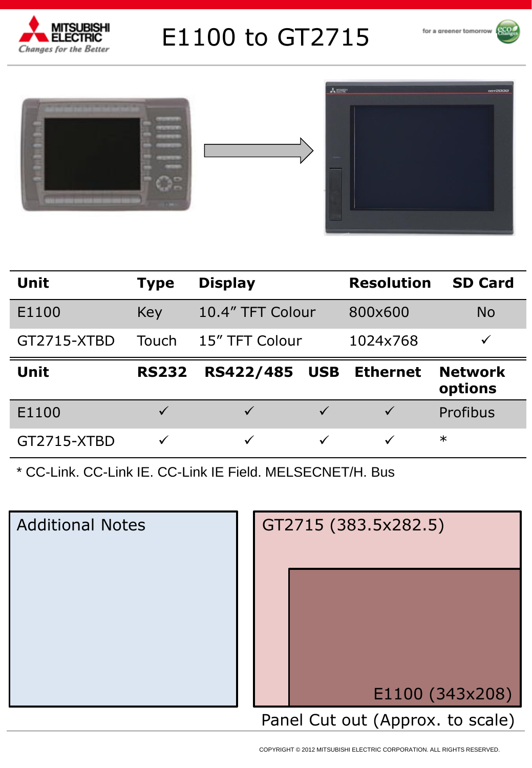

# E1100 to GT2715







| <b>Unit</b> | <b>Type</b>  | <b>Display</b>                 | <b>Resolution</b> | <b>SD Card</b> |  |  |
|-------------|--------------|--------------------------------|-------------------|----------------|--|--|
| E1100       | Key          | 10.4" TFT Colour               | 800×600           | <b>No</b>      |  |  |
| GT2715-XTBD | Touch        | 15" TFT Colour                 | 1024x768          | $\checkmark$   |  |  |
| <b>Unit</b> | <b>RS232</b> | <b>RS422/485</b><br><b>USB</b> | <b>Ethernet</b>   | <b>Network</b> |  |  |
|             |              |                                |                   | options        |  |  |
| E1100       | $\checkmark$ | $\checkmark$<br>$\checkmark$   | $\checkmark$      | Profibus       |  |  |

| <b>Additional Notes</b> | GT2715 (383.5x282.5)             |
|-------------------------|----------------------------------|
|                         |                                  |
|                         | E1100 (343x208)                  |
|                         | Panel Cut out (Approx. to scale) |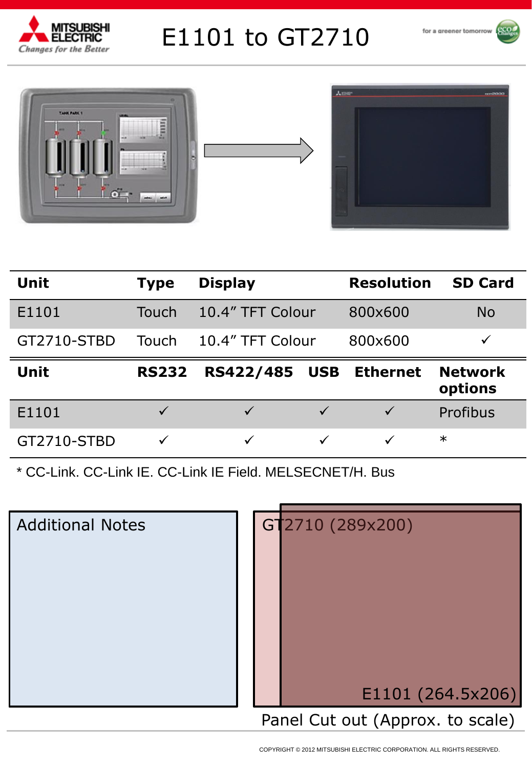

# E1101 to GT2710







| <b>Unit</b> | <b>Type</b>  | <b>Display</b>               | <b>Resolution</b> | <b>SD Card</b>            |  |  |  |
|-------------|--------------|------------------------------|-------------------|---------------------------|--|--|--|
| E1101       | Touch        | 10.4" TFT Colour             | 800×600           | <b>No</b>                 |  |  |  |
| GT2710-STBD | Touch        | 10.4" TFT Colour             | 800×600           | ✓                         |  |  |  |
| <b>Unit</b> | <b>RS232</b> |                              |                   |                           |  |  |  |
|             |              | RS422/485<br><b>USB</b>      | <b>Ethernet</b>   | <b>Network</b><br>options |  |  |  |
| E1101       | $\checkmark$ | $\checkmark$<br>$\checkmark$ | $\checkmark$      | Profibus                  |  |  |  |

| <b>Additional Notes</b> |  | GT2710 (289x200)                 |
|-------------------------|--|----------------------------------|
|                         |  |                                  |
|                         |  |                                  |
|                         |  |                                  |
|                         |  |                                  |
|                         |  |                                  |
|                         |  |                                  |
|                         |  |                                  |
|                         |  |                                  |
|                         |  |                                  |
|                         |  | E1101 (264.5x206)                |
|                         |  | Panel Cut out (Approx. to scale) |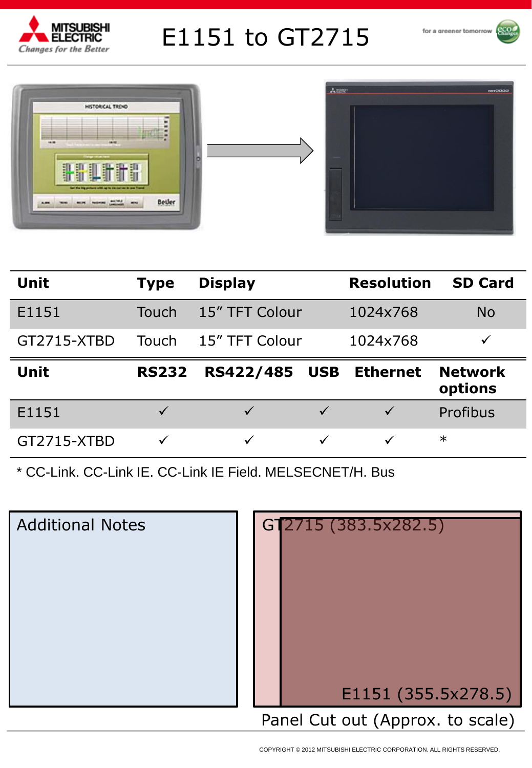

# E1151 to GT2715







| <b>Unit</b> | <b>Type</b>  | <b>Display</b> |              | <b>Resolution</b> | <b>SD Card</b>            |
|-------------|--------------|----------------|--------------|-------------------|---------------------------|
| E1151       | Touch        | 15" TFT Colour |              | 1024x768          | <b>No</b>                 |
| GT2715-XTBD | Touch        | 15" TFT Colour |              | 1024x768          |                           |
|             |              |                |              |                   |                           |
| <b>Unit</b> | <b>RS232</b> | RS422/485      | <b>USB</b>   | <b>Ethernet</b>   | <b>Network</b><br>options |
| E1151       | $\checkmark$ | $\checkmark$   | $\checkmark$ | $\checkmark$      | Profibus                  |

| <b>Additional Notes</b> |  |
|-------------------------|--|
|                         |  |
|                         |  |
|                         |  |
|                         |  |
|                         |  |

| G1 | [2715 (383.5x282.5)]             |
|----|----------------------------------|
|    | E1151 (355.5x278.5)              |
|    | Panel Cut out (Approx. to scale) |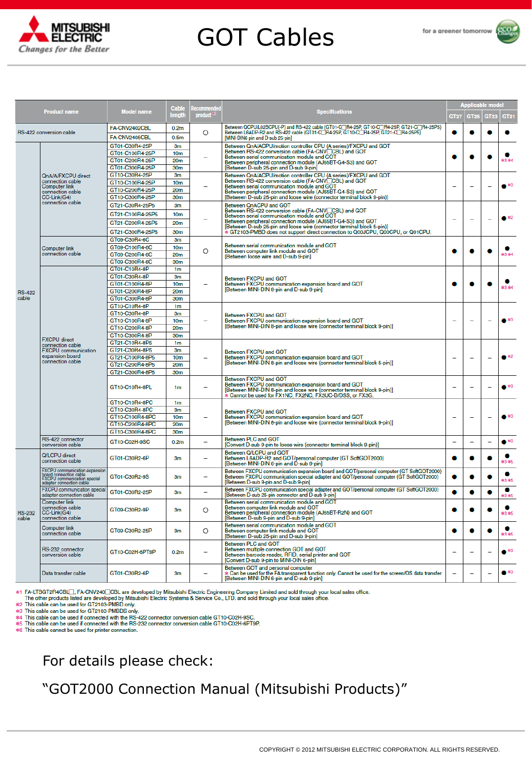

# GOT Cables



|                        |                                                                                                                           |                                    | Cable                              | ecommende |                                                                                                                                                                                                                           |                          | <b>Applicable model</b>  |                          |                   |  |
|------------------------|---------------------------------------------------------------------------------------------------------------------------|------------------------------------|------------------------------------|-----------|---------------------------------------------------------------------------------------------------------------------------------------------------------------------------------------------------------------------------|--------------------------|--------------------------|--------------------------|-------------------|--|
|                        | <b>Product name</b>                                                                                                       | <b>Model name</b>                  | length                             | product * | <b>Specifications</b>                                                                                                                                                                                                     | <b>GT27</b>              | <b>GT25</b>              | <b>GT23</b>              | GT <sub>21</sub>  |  |
|                        | RS-422 conversion cable                                                                                                   | FA-CNV2402CBL                      | 0.2 <sub>m</sub>                   | O         | Between QCPU/L02SCPU(-P) and RS-422 cable (GT01-C∏R4-25P, GT10-C∏R4-25P, GT21-C∏R4-25P5)<br>Between L6ADP-R2 and RS-422 cable (GT01-C∏R4-25P, GT10-C∏R4-25P, GT21-C∏R4-25P5)                                              |                          | ●                        |                          |                   |  |
|                        |                                                                                                                           | FA-CNV2405CBL                      | 0.5 <sub>m</sub>                   |           | MINI-DIN6 pin and D-sub 25-pin]                                                                                                                                                                                           |                          |                          |                          |                   |  |
|                        |                                                                                                                           | GT01-C30R4-25P                     | 3m                                 |           |                                                                                                                                                                                                                           |                          |                          |                          |                   |  |
|                        |                                                                                                                           | GT01-C100R4-25P                    | 10 <sub>m</sub>                    |           | Between QnA/ACPU/motion controller CPU (A series)/FXCPU and GOT<br>Between RS-422 conversion cable (FA-CNV□CBL) and GOT                                                                                                   |                          |                          |                          |                   |  |
|                        |                                                                                                                           | GT01-C200R4-25P                    | 20 <sub>m</sub>                    |           | Between serial communication module and GOT<br>Between peripheral connection module (AJ65BT-G4-S3) and GOT                                                                                                                | O                        |                          |                          | <b>索SR 来4</b>     |  |
|                        |                                                                                                                           | GT01-C300R4-25P                    | 30m                                |           | [Between D-sub 25-pin and D-sub 9-pin]                                                                                                                                                                                    |                          |                          |                          |                   |  |
|                        | QnA/A/FXCPU direct                                                                                                        | GT10-C30R4-25P                     | 3m                                 |           | Between QnA/ACPU/motion controller CPU (A series)/FXCPU and GOT<br>Between RS-422 conversion cable (FA-CNV_CBL) and GOT                                                                                                   |                          |                          |                          |                   |  |
|                        | connection cable<br><b>Computer link</b>                                                                                  | GT10-C100R4-25P                    | 10 <sub>m</sub>                    |           | Between serial communication module and GOT                                                                                                                                                                               | $\overline{\phantom{0}}$ | $\overline{\phantom{0}}$ | $\overline{\phantom{0}}$ | $\bullet$ $^{*3}$ |  |
|                        | connection cable                                                                                                          | GT10-C200R4-25P                    | 20m                                |           | Between peripheral connection module (AJ65BT-G4-S3) and GOT                                                                                                                                                               |                          |                          |                          |                   |  |
|                        | CC-Link(G4)<br>connection cable                                                                                           | GT10-C300R4-25P                    | 30m                                |           | [Between D-sub 25-pin and loose wire (connector terminal block 9-pin)]                                                                                                                                                    |                          |                          |                          |                   |  |
|                        |                                                                                                                           | GT21-C30R4-25P5                    | 3m                                 |           | Between QnACPU and GOT<br>Between RS-422 conversion cable (FA-CNV□CBL) and GOT                                                                                                                                            |                          |                          |                          |                   |  |
|                        |                                                                                                                           | GT21-C100R4-25P5                   | 10 <sub>m</sub>                    |           | Between serial communication module and GOT                                                                                                                                                                               |                          |                          |                          |                   |  |
|                        |                                                                                                                           | GT21-C200R4-25P5                   | 20 <sub>m</sub>                    |           | Between peripheral connection module (AJ65BT-G4-S3) and GOT<br>[Between D-sub 25-pin and loose wire (connector terminal block 5-pin)]                                                                                     |                          |                          |                          |                   |  |
|                        |                                                                                                                           | GT21-C300R4-25P5                   | 30m                                |           | * GT2103-PMBD does not support direct connection to Q00JCPU, Q00CPU, or Q01CPU.                                                                                                                                           |                          |                          |                          |                   |  |
|                        |                                                                                                                           | GT09-C30R4-6C                      | 3m                                 |           |                                                                                                                                                                                                                           |                          |                          |                          |                   |  |
|                        | Computer link                                                                                                             | GT09-C100R4-6C                     | 10 <sub>m</sub>                    |           | Between serial communication module and GOT                                                                                                                                                                               |                          |                          |                          | *3 *4             |  |
|                        | connection cable                                                                                                          | GT09-C200R4-6C                     | 20 <sub>m</sub>                    | O         | Between computer link module and GOT<br>[Between loose wire and D-sub 9-pin]                                                                                                                                              | ۰                        | ●                        |                          |                   |  |
|                        |                                                                                                                           | GT09-C300R4-6C                     | 30m                                |           |                                                                                                                                                                                                                           |                          |                          |                          |                   |  |
|                        |                                                                                                                           | GT01-C10R4-8P                      | 1m                                 |           |                                                                                                                                                                                                                           |                          |                          |                          |                   |  |
|                        |                                                                                                                           | GT01-C30R4-8P                      | 3m                                 |           | Between FXCPU and GOT                                                                                                                                                                                                     |                          |                          |                          |                   |  |
|                        |                                                                                                                           | GT01-C100R4-8P                     | 10 <sub>m</sub>                    |           | Between FXCPU communication expansion board and GOT<br>[Between MINI-DIN 8-pin and D-sub 9-pin]                                                                                                                           |                          |                          |                          | <b>米3 米4</b>      |  |
| <b>RS-422</b><br>cable |                                                                                                                           | GT01-C200R4-8P                     | 20m                                |           |                                                                                                                                                                                                                           |                          |                          |                          |                   |  |
|                        |                                                                                                                           | GT01-C300R4-8P                     | 30 <sub>m</sub>                    |           |                                                                                                                                                                                                                           |                          |                          |                          |                   |  |
|                        |                                                                                                                           | GT10-C10R4-8P                      | 1 <sub>m</sub>                     |           | Between FXCPU and GOT<br>Between FXCPU communication expansion board and GOT<br>[Between MINI-DIN 8-pin and loose wire (connector terminal block 9-pin)]                                                                  |                          |                          |                          |                   |  |
|                        | <b>FXCPU</b> direct<br>connection cable<br><b>FXCPU</b> communication<br>expansion board                                  | GT10-C30R4-8P                      | 3m                                 |           |                                                                                                                                                                                                                           |                          |                          |                          |                   |  |
|                        |                                                                                                                           | GT10-C100R4-8P                     | 10 <sub>m</sub>                    |           |                                                                                                                                                                                                                           |                          |                          |                          | $\bullet$ $*3$    |  |
|                        |                                                                                                                           | GT10-C200R4-8P                     | 20m                                |           |                                                                                                                                                                                                                           |                          |                          |                          |                   |  |
|                        |                                                                                                                           | GT10-C300R4-8P                     | 30m                                |           |                                                                                                                                                                                                                           |                          |                          |                          |                   |  |
|                        |                                                                                                                           | GT21-C10R4-8P5                     | 1m                                 |           |                                                                                                                                                                                                                           |                          |                          |                          |                   |  |
|                        |                                                                                                                           | GT21-C30R4-8P5                     | 3m                                 |           | Between FXCPU and GOT                                                                                                                                                                                                     |                          |                          |                          | $\bullet$ *2      |  |
|                        | connection cable                                                                                                          | GT21-C100R4-8P5<br>GT21-C200R4-8P5 | 10 <sub>m</sub><br>20 <sub>m</sub> |           | Between FXCPU communication expansion board and GOT<br>[Between MINI-DIN 8-pin and loose wire (connector terminal block 5-pin)]                                                                                           |                          |                          |                          |                   |  |
|                        |                                                                                                                           | GT21-C300R4-8P5                    | 30m                                |           |                                                                                                                                                                                                                           |                          |                          |                          |                   |  |
|                        |                                                                                                                           | GT10-C10R4-8PL                     | 1 <sub>m</sub>                     |           | Between FXCPU and GOT<br>Between FXCPU communication expansion board and GOT<br>[Between MINI-DIN 8-pin and loose wire (connector terminal block 9-pin)]<br>Cannot be used for FX1NC, FX2NC, FX3UC-D/DSS, or FX3G.        |                          |                          |                          | $\bullet$ $*3$    |  |
|                        |                                                                                                                           | GT10-C10R4-8PC                     | 1m                                 |           |                                                                                                                                                                                                                           |                          |                          |                          |                   |  |
|                        |                                                                                                                           | GT10-C30R4-8PC                     | 3m                                 |           | Between FXCPU and GOT<br>Between FXCPU communication expansion board and GOT                                                                                                                                              |                          |                          | ÷,                       |                   |  |
|                        |                                                                                                                           | GT10-C100R4-8PC                    | 10 <sub>m</sub>                    |           |                                                                                                                                                                                                                           | $\overline{\phantom{0}}$ | $\overline{\phantom{0}}$ |                          |                   |  |
|                        |                                                                                                                           | GT10-C200R4-8PC                    | 20m                                |           | [Between MINI-DIN 8-pin and loose wire (connector terminal block 9-pin)]                                                                                                                                                  |                          |                          |                          |                   |  |
|                        |                                                                                                                           | GT10-C300R4-8PC                    | 30m                                |           |                                                                                                                                                                                                                           |                          |                          |                          |                   |  |
|                        | RS-422 connector<br>conversion cable                                                                                      | GT10-C02H-9SC                      | 0.2 <sub>m</sub>                   | L.        | Between PLC and GOT<br>[Convert D-sub 9-pin to loose wire (connector terminal block 9-pin)]                                                                                                                               | $\overline{\phantom{0}}$ | $\overline{\phantom{0}}$ | $\overline{\phantom{0}}$ | $\bullet$ $^{*3}$ |  |
|                        | Q/LCPU direct<br>connection cable                                                                                         | GT01-C30R2-6P                      | 3 <sub>m</sub>                     |           | Between Q/LCPU and GOT<br>Between L6ADP-R2 and GOT/personal computer (GT SoftGOT2000)<br>[Between MINI-DIN 6-pin and D-sub 9-pin]                                                                                         |                          |                          |                          | *3 *5             |  |
|                        | <b>FXCPU</b> communication expansion<br>board connection cable<br>FXCPU communication special<br>adapter connection cable | GT01-C30R2-9S                      | 3 <sub>m</sub>                     |           | Between FXCPU communication expansion board and GOT/personal computer (GT SoftGOT2000)<br>Between FXCPU communication special adapter and GOT/personal computer (GT SoftGOT2000)<br>[Between D-sub 9-pin and D-sub 9-pin] |                          |                          |                          | ●<br>*3 *5        |  |
|                        | FXCPU communication special<br>adapter connection cable                                                                   | GT01-C30R2-25P                     | 3 <sub>m</sub>                     | $\equiv$  | Between FXCPU communication special adapter and GOT/personal computer (GT SoftGOT2000)<br>[Between D-sub 25-pin connector and D-sub 9-pin]                                                                                | ٥                        | 0                        | G                        | ۰<br>*3 *5        |  |
| <b>RS-232</b><br>cable | <b>Computer link</b><br>connection cable<br>CC-Link(G4)<br>connection cable                                               | GT09-C30R2-9P                      | 3 <sub>m</sub>                     | O         | Between serial communication module and GOT<br>Between computer link module and GOT<br>Between peripheral connection module (AJ65BT-R2N) and GOT<br>[Between D-sub 9-pin and D-sub 9-pin]                                 |                          |                          |                          | *3 *5             |  |
|                        | Computer link<br>connection cable                                                                                         | GT09-C30R2-25P                     | 3m                                 | O         | Between serial communication module and GOT<br>Between computer link module and GOT<br>[Between D-sub 25-pin and D-sub 9-pin]                                                                                             |                          |                          |                          | ۰<br>*3 *5        |  |
|                        | RS-232 connector<br>conversion cable                                                                                      | GT10-C02H-6PT9P                    | 0.2 <sub>m</sub>                   | ÷         | <b>Between PLC and GOT</b><br>Between multiple connection GOT and GOT<br>Between barcode reader, RFID, serial printer and GOT<br>[Convert D-sub 9-pin to MINI-DIN 6-pin]                                                  |                          | $\overline{\phantom{0}}$ |                          | $\bullet$ $^{*3}$ |  |
|                        | Data transfer cable                                                                                                       | GT01-C30R2-6P                      | 3 <sub>m</sub>                     |           | Between GOT and personal computer<br>* Can be used for the FA transparent function only. Cannot be used for the screen/OS data transfer.                                                                                  |                          |                          | ۰                        | $\bullet$ $^{*3}$ |  |

\*1 FA-LTBGT2R4CBL∏, FA-CNV240□CBL are developed by Mitsubishi Electric Engineering Company Limited and sold through your local sales office.<br>The other products listed are developed by Mitsubishi Electric Systems & Servic

\*6 This cable cannot be used for printer connection.

#### For details please check:

#### "GOT2000 Connection Manual (Mitsubishi Products)"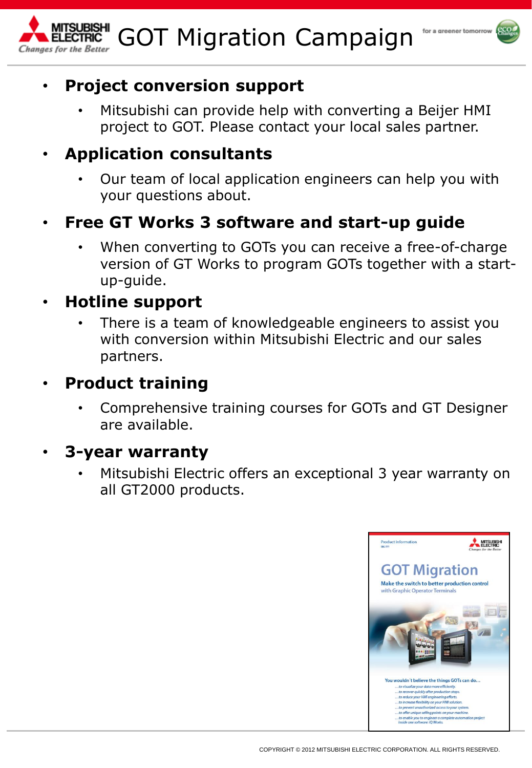

#### GOT Migration Campaign Changes for the Better



• Mitsubishi can provide help with converting a Beijer HMI project to GOT. Please contact your local sales partner.

### • **Application consultants**

• Our team of local application engineers can help you with your questions about.

# • **Free GT Works 3 software and start-up guide**

When converting to GOTs you can receive a free-of-charge version of GT Works to program GOTs together with a startup-guide.

### • **Hotline support**

There is a team of knowledgeable engineers to assist you with conversion within Mitsubishi Electric and our sales partners.

# • **Product training**

• Comprehensive training courses for GOTs and GT Designer are available.

### • **3-year warranty**

Mitsubishi Electric offers an exceptional 3 year warranty on all GT2000 products.